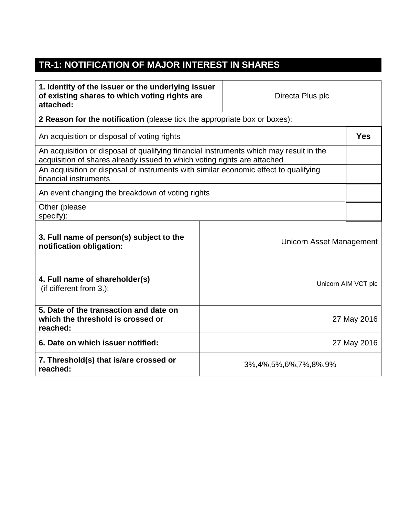## **TR-1: NOTIFICATION OF MAJOR INTEREST IN SHARES**

| 1. Identity of the issuer or the underlying issuer<br>of existing shares to which voting rights are<br>attached:                                                   |                            | Directa Plus plc         |                     |  |
|--------------------------------------------------------------------------------------------------------------------------------------------------------------------|----------------------------|--------------------------|---------------------|--|
| 2 Reason for the notification (please tick the appropriate box or boxes):                                                                                          |                            |                          |                     |  |
| An acquisition or disposal of voting rights                                                                                                                        |                            |                          |                     |  |
| An acquisition or disposal of qualifying financial instruments which may result in the<br>acquisition of shares already issued to which voting rights are attached |                            |                          |                     |  |
| An acquisition or disposal of instruments with similar economic effect to qualifying<br>financial instruments                                                      |                            |                          |                     |  |
| An event changing the breakdown of voting rights                                                                                                                   |                            |                          |                     |  |
| Other (please<br>specify):                                                                                                                                         |                            |                          |                     |  |
| 3. Full name of person(s) subject to the<br>notification obligation:                                                                                               |                            | Unicorn Asset Management |                     |  |
| 4. Full name of shareholder(s)<br>(if different from 3.):                                                                                                          |                            |                          | Unicorn AIM VCT plc |  |
| 5. Date of the transaction and date on<br>which the threshold is crossed or<br>reached:                                                                            | 27 May 2016                |                          |                     |  |
| 6. Date on which issuer notified:                                                                                                                                  |                            |                          | 27 May 2016         |  |
| 7. Threshold(s) that is/are crossed or<br>reached:                                                                                                                 | 3%, 4%, 5%, 6%, 7%, 8%, 9% |                          |                     |  |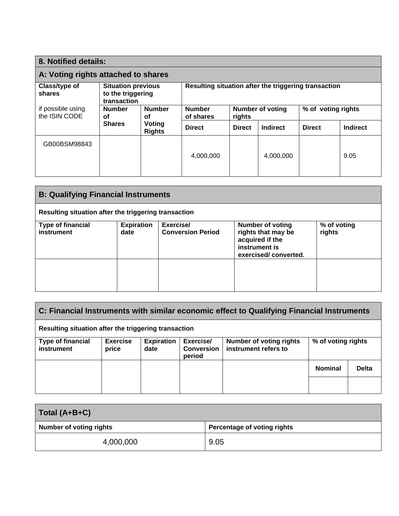| 8. Notified details:                                                                     |                                            |                                                      |                            |                                   |                 |                    |      |
|------------------------------------------------------------------------------------------|--------------------------------------------|------------------------------------------------------|----------------------------|-----------------------------------|-----------------|--------------------|------|
| A: Voting rights attached to shares                                                      |                                            |                                                      |                            |                                   |                 |                    |      |
| Class/type of<br><b>Situation previous</b><br>to the triggering<br>shares<br>transaction |                                            | Resulting situation after the triggering transaction |                            |                                   |                 |                    |      |
| if possible using<br>the ISIN CODE                                                       | <b>Number</b><br><b>Number</b><br>οf<br>οf |                                                      | <b>Number</b><br>of shares | <b>Number of voting</b><br>rights |                 | % of voting rights |      |
| <b>Shares</b><br>Voting<br><b>Rights</b>                                                 | <b>Direct</b>                              | <b>Direct</b>                                        | Indirect                   | <b>Direct</b>                     | <b>Indirect</b> |                    |      |
| GB00BSM98843                                                                             |                                            |                                                      |                            |                                   |                 |                    |      |
|                                                                                          |                                            |                                                      | 4,000,000                  |                                   | 4,000,000       |                    | 9.05 |
|                                                                                          |                                            |                                                      |                            |                                   |                 |                    |      |

| <b>B: Qualifying Financial Instruments</b>           |                           |                                       |                                                                                                           |                       |  |
|------------------------------------------------------|---------------------------|---------------------------------------|-----------------------------------------------------------------------------------------------------------|-----------------------|--|
| Resulting situation after the triggering transaction |                           |                                       |                                                                                                           |                       |  |
| <b>Type of financial</b><br>instrument               | <b>Expiration</b><br>date | Exercise/<br><b>Conversion Period</b> | <b>Number of voting</b><br>rights that may be<br>acquired if the<br>instrument is<br>exercised/converted. | % of voting<br>rights |  |
|                                                      |                           |                                       |                                                                                                           |                       |  |

| C: Financial Instruments with similar economic effect to Qualifying Financial Instruments |                          |                           |                                          |                                                        |                    |              |
|-------------------------------------------------------------------------------------------|--------------------------|---------------------------|------------------------------------------|--------------------------------------------------------|--------------------|--------------|
| Resulting situation after the triggering transaction                                      |                          |                           |                                          |                                                        |                    |              |
| <b>Type of financial</b><br>instrument                                                    | <b>Exercise</b><br>price | <b>Expiration</b><br>date | Exercise/<br><b>Conversion</b><br>period | <b>Number of voting rights</b><br>instrument refers to | % of voting rights |              |
|                                                                                           |                          |                           |                                          |                                                        | <b>Nominal</b>     | <b>Delta</b> |
|                                                                                           |                          |                           |                                          |                                                        |                    |              |

| Total (A+B+C)                  |                             |
|--------------------------------|-----------------------------|
| <b>Number of voting rights</b> | Percentage of voting rights |
| 4,000,000                      | 9.05                        |